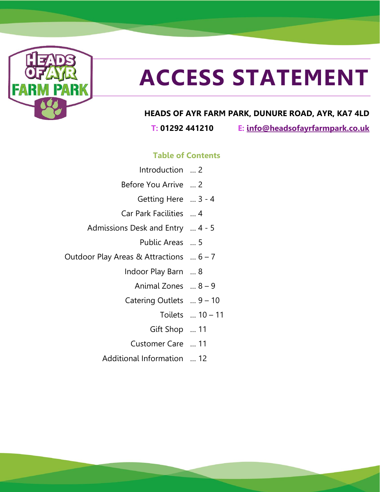

# **ACCESS STATEMENT**

#### **HEADS OF AYR FARM PARK, DUNURE ROAD, AYR, KA7 4LD**

**T: 01292 441210 E: [info@headsofayrfarmpark.co.uk](mailto:info@headsofayrfarmpark.co.uk)**

#### **Table of Contents**

- Introduction … 2 Before You Arrive … 2
	- Getting Here … 3 4
- Car Park Facilities … 4
- Admissions Desk and Entry … 4 5
	- Public Areas … 5
- Outdoor Play Areas & Attractions … 6 7
	- Indoor Play Barn … 8
		- Animal Zones … 8 9
	- Catering Outlets … 9 10
		- Toilets … 10 11
		- Gift Shop … 11
		- Customer Care … 11
	- Additional Information … 12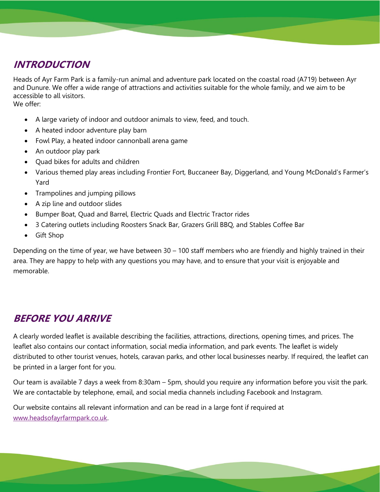## **INTRODUCTION**

Heads of Ayr Farm Park is a family-run animal and adventure park located on the coastal road (A719) between Ayr and Dunure. We offer a wide range of attractions and activities suitable for the whole family, and we aim to be accessible to all visitors.

We offer:

- A large variety of indoor and outdoor animals to view, feed, and touch.
- A heated indoor adventure play barn
- Fowl Play, a heated indoor cannonball arena game
- An outdoor play park
- Quad bikes for adults and children
- Various themed play areas including Frontier Fort, Buccaneer Bay, Diggerland, and Young McDonald's Farmer's Yard
- Trampolines and jumping pillows
- A zip line and outdoor slides
- Bumper Boat, Quad and Barrel, Electric Quads and Electric Tractor rides
- 3 Catering outlets including Roosters Snack Bar, Grazers Grill BBQ, and Stables Coffee Bar
- Gift Shop

Depending on the time of year, we have between 30 – 100 staff members who are friendly and highly trained in their area. They are happy to help with any questions you may have, and to ensure that your visit is enjoyable and memorable.

# **BEFORE YOU ARRIVE**

A clearly worded leaflet is available describing the facilities, attractions, directions, opening times, and prices. The leaflet also contains our contact information, social media information, and park events. The leaflet is widely distributed to other tourist venues, hotels, caravan parks, and other local businesses nearby. If required, the leaflet can be printed in a larger font for you.

Our team is available 7 days a week from 8:30am – 5pm, should you require any information before you visit the park. We are contactable by telephone, email, and social media channels including Facebook and Instagram.

Our website contains all relevant information and can be read in a large font if required at [www.headsofayrfarmpark.co.uk.](http://www.headsofayrfarmpark.co.uk/)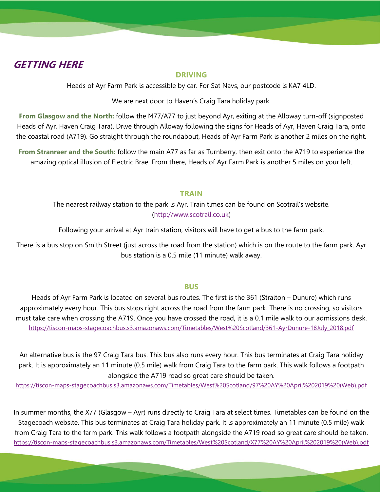#### **GETTING HERE**

#### **DRIVING**

Heads of Ayr Farm Park is accessible by car. For Sat Navs, our postcode is KA7 4LD.

We are next door to Haven's Craig Tara holiday park.

**From Glasgow and the North:** follow the M77/A77 to just beyond Ayr, exiting at the Alloway turn-off (signposted Heads of Ayr, Haven Craig Tara). Drive through Alloway following the signs for Heads of Ayr, Haven Craig Tara, onto the coastal road (A719). Go straight through the roundabout, Heads of Ayr Farm Park is another 2 miles on the right.

**From Stranraer and the South:** follow the main A77 as far as Turnberry, then exit onto the A719 to experience the amazing optical illusion of Electric Brae. From there, Heads of Ayr Farm Park is another 5 miles on your left.

#### **TRAIN**

The nearest railway station to the park is Ayr. Train times can be found on Scotrail's website. [\(http://www.scotrail.co.uk\)](http://www.scotrail.co.uk/)

Following your arrival at Ayr train station, visitors will have to get a bus to the farm park.

There is a bus stop on Smith Street (just across the road from the station) which is on the route to the farm park. Ayr bus station is a 0.5 mile (11 minute) walk away.

#### **BUS**

Heads of Ayr Farm Park is located on several bus routes. The first is the 361 (Straiton – Dunure) which runs approximately every hour. This bus stops right across the road from the farm park. There is no crossing, so visitors must take care when crossing the A719. Once you have crossed the road, it is a 0.1 mile walk to our admissions desk. [https://tiscon-maps-stagecoachbus.s3.amazonaws.com/Timetables/West%20Scotland/361-AyrDunure-18July\\_2018.pdf](https://tiscon-maps-stagecoachbus.s3.amazonaws.com/Timetables/West%20Scotland/361-AyrDunure-18July_2018.pdf)

An alternative bus is the 97 Craig Tara bus. This bus also runs every hour. This bus terminates at Craig Tara holiday park. It is approximately an 11 minute (0.5 mile) walk from Craig Tara to the farm park. This walk follows a footpath alongside the A719 road so great care should be taken.

[https://tiscon-maps-stagecoachbus.s3.amazonaws.com/Timetables/West%20Scotland/97%20AY%20April%202019%20\(Web\).pdf](https://tiscon-maps-stagecoachbus.s3.amazonaws.com/Timetables/West%20Scotland/97%20AY%20April%202019%20(Web).pdf)

In summer months, the X77 (Glasgow – Ayr) runs directly to Craig Tara at select times. Timetables can be found on the Stagecoach website. This bus terminates at Craig Tara holiday park. It is approximately an 11 minute (0.5 mile) walk from Craig Tara to the farm park. This walk follows a footpath alongside the A719 road so great care should be taken. [https://tiscon-maps-stagecoachbus.s3.amazonaws.com/Timetables/West%20Scotland/X77%20AY%20April%202019%20\(Web\).pdf](https://tiscon-maps-stagecoachbus.s3.amazonaws.com/Timetables/West%20Scotland/X77%20AY%20April%202019%20(Web).pdf)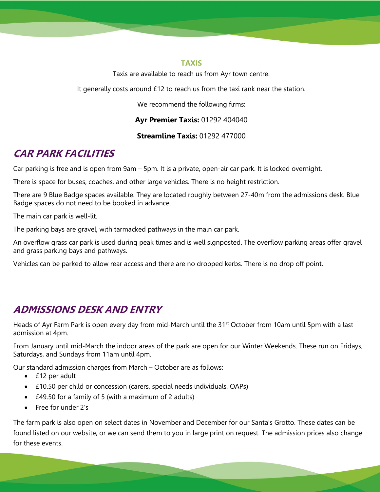#### **TAXIS**

Taxis are available to reach us from Ayr town centre.

It generally costs around £12 to reach us from the taxi rank near the station.

We recommend the following firms:

**Ayr Premier Taxis:** 01292 404040

**Streamline Taxis:** 01292 477000

# **CAR PARK FACILITIES**

Car parking is free and is open from 9am – 5pm. It is a private, open-air car park. It is locked overnight.

There is space for buses, coaches, and other large vehicles. There is no height restriction.

There are 9 Blue Badge spaces available. They are located roughly between 27-40m from the admissions desk. Blue Badge spaces do not need to be booked in advance.

The main car park is well-lit.

The parking bays are gravel, with tarmacked pathways in the main car park.

An overflow grass car park is used during peak times and is well signposted. The overflow parking areas offer gravel and grass parking bays and pathways.

Vehicles can be parked to allow rear access and there are no dropped kerbs. There is no drop off point.

# **ADMISSIONS DESK AND ENTRY**

Heads of Ayr Farm Park is open every day from mid-March until the 31<sup>st</sup> October from 10am until 5pm with a last admission at 4pm.

From January until mid-March the indoor areas of the park are open for our Winter Weekends. These run on Fridays, Saturdays, and Sundays from 11am until 4pm.

Our standard admission charges from March – October are as follows:

- £12 per adult
- £10.50 per child or concession (carers, special needs individuals, OAPs)
- £49.50 for a family of 5 (with a maximum of 2 adults)
- Free for under 2's

The farm park is also open on select dates in November and December for our Santa's Grotto. These dates can be found listed on our website, or we can send them to you in large print on request. The admission prices also change for these events.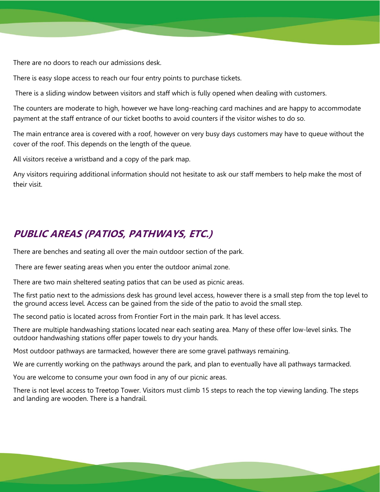There are no doors to reach our admissions desk.

There is easy slope access to reach our four entry points to purchase tickets.

There is a sliding window between visitors and staff which is fully opened when dealing with customers.

The counters are moderate to high, however we have long-reaching card machines and are happy to accommodate payment at the staff entrance of our ticket booths to avoid counters if the visitor wishes to do so.

The main entrance area is covered with a roof, however on very busy days customers may have to queue without the cover of the roof. This depends on the length of the queue.

All visitors receive a wristband and a copy of the park map.

Any visitors requiring additional information should not hesitate to ask our staff members to help make the most of their visit.

#### **PUBLIC AREAS (PATIOS, PATHWAYS, ETC.)**

There are benches and seating all over the main outdoor section of the park.

There are fewer seating areas when you enter the outdoor animal zone.

There are two main sheltered seating patios that can be used as picnic areas.

The first patio next to the admissions desk has ground level access, however there is a small step from the top level to the ground access level. Access can be gained from the side of the patio to avoid the small step.

The second patio is located across from Frontier Fort in the main park. It has level access.

There are multiple handwashing stations located near each seating area. Many of these offer low-level sinks. The outdoor handwashing stations offer paper towels to dry your hands.

Most outdoor pathways are tarmacked, however there are some gravel pathways remaining.

We are currently working on the pathways around the park, and plan to eventually have all pathways tarmacked.

You are welcome to consume your own food in any of our picnic areas.

There is not level access to Treetop Tower. Visitors must climb 15 steps to reach the top viewing landing. The steps and landing are wooden. There is a handrail.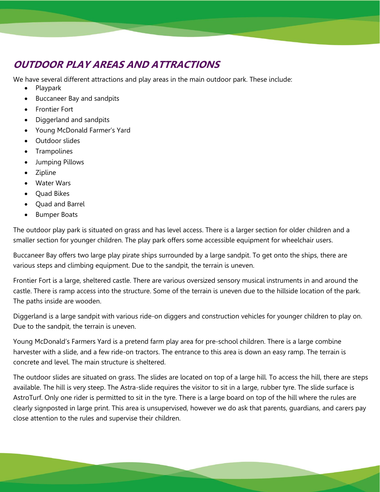# **OUTDOOR PLAY AREAS AND ATTRACTIONS**

We have several different attractions and play areas in the main outdoor park. These include:

- Playpark
- Buccaneer Bay and sandpits
- Frontier Fort
- Diggerland and sandpits
- Young McDonald Farmer's Yard
- Outdoor slides
- **Trampolines**
- Jumping Pillows
- Zipline
- Water Wars
- Quad Bikes
- Quad and Barrel
- Bumper Boats

The outdoor play park is situated on grass and has level access. There is a larger section for older children and a smaller section for younger children. The play park offers some accessible equipment for wheelchair users.

Buccaneer Bay offers two large play pirate ships surrounded by a large sandpit. To get onto the ships, there are various steps and climbing equipment. Due to the sandpit, the terrain is uneven.

Frontier Fort is a large, sheltered castle. There are various oversized sensory musical instruments in and around the castle. There is ramp access into the structure. Some of the terrain is uneven due to the hillside location of the park. The paths inside are wooden.

Diggerland is a large sandpit with various ride-on diggers and construction vehicles for younger children to play on. Due to the sandpit, the terrain is uneven.

Young McDonald's Farmers Yard is a pretend farm play area for pre-school children. There is a large combine harvester with a slide, and a few ride-on tractors. The entrance to this area is down an easy ramp. The terrain is concrete and level. The main structure is sheltered.

The outdoor slides are situated on grass. The slides are located on top of a large hill. To access the hill, there are steps available. The hill is very steep. The Astra-slide requires the visitor to sit in a large, rubber tyre. The slide surface is AstroTurf. Only one rider is permitted to sit in the tyre. There is a large board on top of the hill where the rules are clearly signposted in large print. This area is unsupervised, however we do ask that parents, guardians, and carers pay close attention to the rules and supervise their children.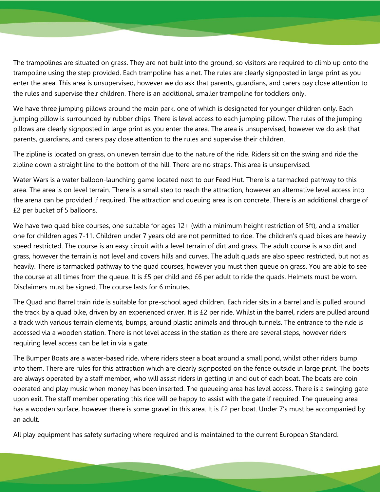The trampolines are situated on grass. They are not built into the ground, so visitors are required to climb up onto the trampoline using the step provided. Each trampoline has a net. The rules are clearly signposted in large print as you enter the area. This area is unsupervised, however we do ask that parents, guardians, and carers pay close attention to the rules and supervise their children. There is an additional, smaller trampoline for toddlers only.

We have three jumping pillows around the main park, one of which is designated for younger children only. Each jumping pillow is surrounded by rubber chips. There is level access to each jumping pillow. The rules of the jumping pillows are clearly signposted in large print as you enter the area. The area is unsupervised, however we do ask that parents, guardians, and carers pay close attention to the rules and supervise their children.

The zipline is located on grass, on uneven terrain due to the nature of the ride. Riders sit on the swing and ride the zipline down a straight line to the bottom of the hill. There are no straps. This area is unsupervised.

Water Wars is a water balloon-launching game located next to our Feed Hut. There is a tarmacked pathway to this area. The area is on level terrain. There is a small step to reach the attraction, however an alternative level access into the arena can be provided if required. The attraction and queuing area is on concrete. There is an additional charge of £2 per bucket of 5 balloons.

We have two quad bike courses, one suitable for ages 12+ (with a minimum height restriction of 5ft), and a smaller one for children ages 7-11. Children under 7 years old are not permitted to ride. The children's quad bikes are heavily speed restricted. The course is an easy circuit with a level terrain of dirt and grass. The adult course is also dirt and grass, however the terrain is not level and covers hills and curves. The adult quads are also speed restricted, but not as heavily. There is tarmacked pathway to the quad courses, however you must then queue on grass. You are able to see the course at all times from the queue. It is £5 per child and £6 per adult to ride the quads. Helmets must be worn. Disclaimers must be signed. The course lasts for 6 minutes.

The Quad and Barrel train ride is suitable for pre-school aged children. Each rider sits in a barrel and is pulled around the track by a quad bike, driven by an experienced driver. It is £2 per ride. Whilst in the barrel, riders are pulled around a track with various terrain elements, bumps, around plastic animals and through tunnels. The entrance to the ride is accessed via a wooden station. There is not level access in the station as there are several steps, however riders requiring level access can be let in via a gate.

The Bumper Boats are a water-based ride, where riders steer a boat around a small pond, whilst other riders bump into them. There are rules for this attraction which are clearly signposted on the fence outside in large print. The boats are always operated by a staff member, who will assist riders in getting in and out of each boat. The boats are coin operated and play music when money has been inserted. The queueing area has level access. There is a swinging gate upon exit. The staff member operating this ride will be happy to assist with the gate if required. The queueing area has a wooden surface, however there is some gravel in this area. It is £2 per boat. Under 7's must be accompanied by an adult.

All play equipment has safety surfacing where required and is maintained to the current European Standard.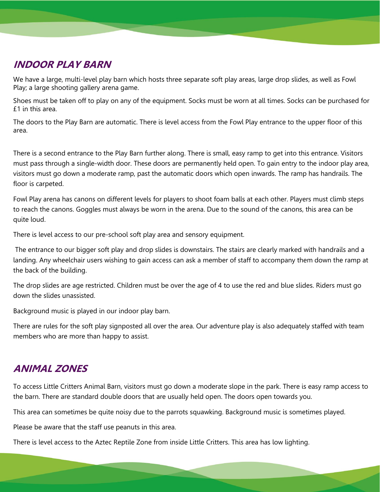## **INDOOR PLAY BARN**

We have a large, multi-level play barn which hosts three separate soft play areas, large drop slides, as well as Fowl Play; a large shooting gallery arena game.

Shoes must be taken off to play on any of the equipment. Socks must be worn at all times. Socks can be purchased for £1 in this area.

The doors to the Play Barn are automatic. There is level access from the Fowl Play entrance to the upper floor of this area.

There is a second entrance to the Play Barn further along. There is small, easy ramp to get into this entrance. Visitors must pass through a single-width door. These doors are permanently held open. To gain entry to the indoor play area, visitors must go down a moderate ramp, past the automatic doors which open inwards. The ramp has handrails. The floor is carpeted.

Fowl Play arena has canons on different levels for players to shoot foam balls at each other. Players must climb steps to reach the canons. Goggles must always be worn in the arena. Due to the sound of the canons, this area can be quite loud.

There is level access to our pre-school soft play area and sensory equipment.

The entrance to our bigger soft play and drop slides is downstairs. The stairs are clearly marked with handrails and a landing. Any wheelchair users wishing to gain access can ask a member of staff to accompany them down the ramp at the back of the building.

The drop slides are age restricted. Children must be over the age of 4 to use the red and blue slides. Riders must go down the slides unassisted.

Background music is played in our indoor play barn.

There are rules for the soft play signposted all over the area. Our adventure play is also adequately staffed with team members who are more than happy to assist.

## **ANIMAL ZONES**

To access Little Critters Animal Barn, visitors must go down a moderate slope in the park. There is easy ramp access to the barn. There are standard double doors that are usually held open. The doors open towards you.

This area can sometimes be quite noisy due to the parrots squawking. Background music is sometimes played.

Please be aware that the staff use peanuts in this area.

There is level access to the Aztec Reptile Zone from inside Little Critters. This area has low lighting.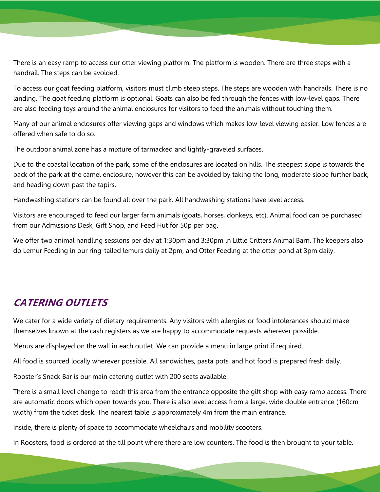There is an easy ramp to access our otter viewing platform. The platform is wooden. There are three steps with a handrail. The steps can be avoided.

To access our goat feeding platform, visitors must climb steep steps. The steps are wooden with handrails. There is no landing. The goat feeding platform is optional. Goats can also be fed through the fences with low-level gaps. There are also feeding toys around the animal enclosures for visitors to feed the animals without touching them.

Many of our animal enclosures offer viewing gaps and windows which makes low-level viewing easier. Low fences are offered when safe to do so.

The outdoor animal zone has a mixture of tarmacked and lightly-graveled surfaces.

Due to the coastal location of the park, some of the enclosures are located on hills. The steepest slope is towards the back of the park at the camel enclosure, however this can be avoided by taking the long, moderate slope further back, and heading down past the tapirs.

Handwashing stations can be found all over the park. All handwashing stations have level access.

Visitors are encouraged to feed our larger farm animals (goats, horses, donkeys, etc). Animal food can be purchased from our Admissions Desk, Gift Shop, and Feed Hut for 50p per bag.

We offer two animal handling sessions per day at 1:30pm and 3:30pm in Little Critters Animal Barn. The keepers also do Lemur Feeding in our ring-tailed lemurs daily at 2pm, and Otter Feeding at the otter pond at 3pm daily.

## **CATERING OUTLETS**

We cater for a wide variety of dietary requirements. Any visitors with allergies or food intolerances should make themselves known at the cash registers as we are happy to accommodate requests wherever possible.

Menus are displayed on the wall in each outlet. We can provide a menu in large print if required.

All food is sourced locally wherever possible. All sandwiches, pasta pots, and hot food is prepared fresh daily.

Rooster's Snack Bar is our main catering outlet with 200 seats available.

There is a small level change to reach this area from the entrance opposite the gift shop with easy ramp access. There are automatic doors which open towards you. There is also level access from a large, wide double entrance (160cm width) from the ticket desk. The nearest table is approximately 4m from the main entrance.

Inside, there is plenty of space to accommodate wheelchairs and mobility scooters.

In Roosters, food is ordered at the till point where there are low counters. The food is then brought to your table.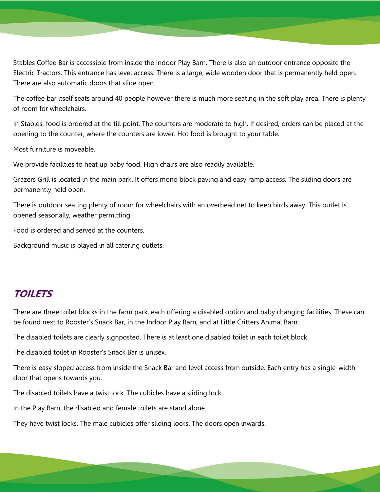Stables Coffee Bar is accessible from inside the Indoor Play Barn. There is also an outdoor entrance opposite the Electric Tractors. This entrance has level access. There is a large, wide wooden door that is permanently held open. There are also automatic doors that slide open.

The coffee bar itself seats around 40 people however there is much more seating in the soft play area. There is plenty of room for wheelchairs.

In Stables, food is ordered at the till point. The counters are moderate to high. If desired, orders can be placed at the opening to the counter, where the counters are lower. Hot food is brought to your table.

Most furniture is moveable.

We provide facilities to heat up baby food. High chairs are also readily available.

Grazers Grill is located in the main park. It offers mono block paving and easy ramp access. The sliding doors are permanently held open.

There is outdoor seating plenty of room for wheelchairs with an overhead net to keep birds away. This outlet is opened seasonally, weather permitting.

Food is ordered and served at the counters.

Background music is played in all catering outlets.

#### **TOILETS**

There are three toilet blocks in the farm park, each offering a disabled option and baby changing facilities. These can be found next to Rooster's Snack Bar, in the Indoor Play Barn, and at Little Critters Animal Barn.

The disabled toilets are clearly signposted. There is at least one disabled toilet in each toilet block.

The disabled toilet in Rooster's Snack Bar is unisex.

There is easy sloped access from inside the Snack Bar and level access from outside. Each entry has a single-width door that opens towards you.

The disabled toilets have a twist lock. The cubicles have a sliding lock.

In the Play Barn, the disabled and female toilets are stand alone.

They have twist locks. The male cubicles offer sliding locks. The doors open inwards.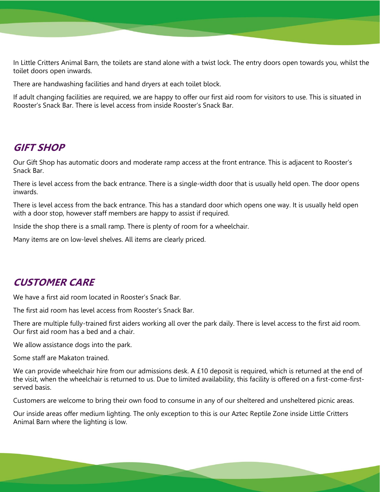In Little Critters Animal Barn, the toilets are stand alone with a twist lock. The entry doors open towards you, whilst the toilet doors open inwards.

There are handwashing facilities and hand dryers at each toilet block.

If adult changing facilities are required, we are happy to offer our first aid room for visitors to use. This is situated in Rooster's Snack Bar. There is level access from inside Rooster's Snack Bar.

#### **GIFT SHOP**

Our Gift Shop has automatic doors and moderate ramp access at the front entrance. This is adjacent to Rooster's Snack Bar.

There is level access from the back entrance. There is a single-width door that is usually held open. The door opens inwards.

There is level access from the back entrance. This has a standard door which opens one way. It is usually held open with a door stop, however staff members are happy to assist if required.

Inside the shop there is a small ramp. There is plenty of room for a wheelchair.

Many items are on low-level shelves. All items are clearly priced.

#### **CUSTOMER CARE**

We have a first aid room located in Rooster's Snack Bar.

The first aid room has level access from Rooster's Snack Bar.

There are multiple fully-trained first aiders working all over the park daily. There is level access to the first aid room. Our first aid room has a bed and a chair.

We allow assistance dogs into the park.

Some staff are Makaton trained.

We can provide wheelchair hire from our admissions desk. A £10 deposit is required, which is returned at the end of the visit, when the wheelchair is returned to us. Due to limited availability, this facility is offered on a first-come-firstserved basis.

Customers are welcome to bring their own food to consume in any of our sheltered and unsheltered picnic areas.

Our inside areas offer medium lighting. The only exception to this is our Aztec Reptile Zone inside Little Critters Animal Barn where the lighting is low.